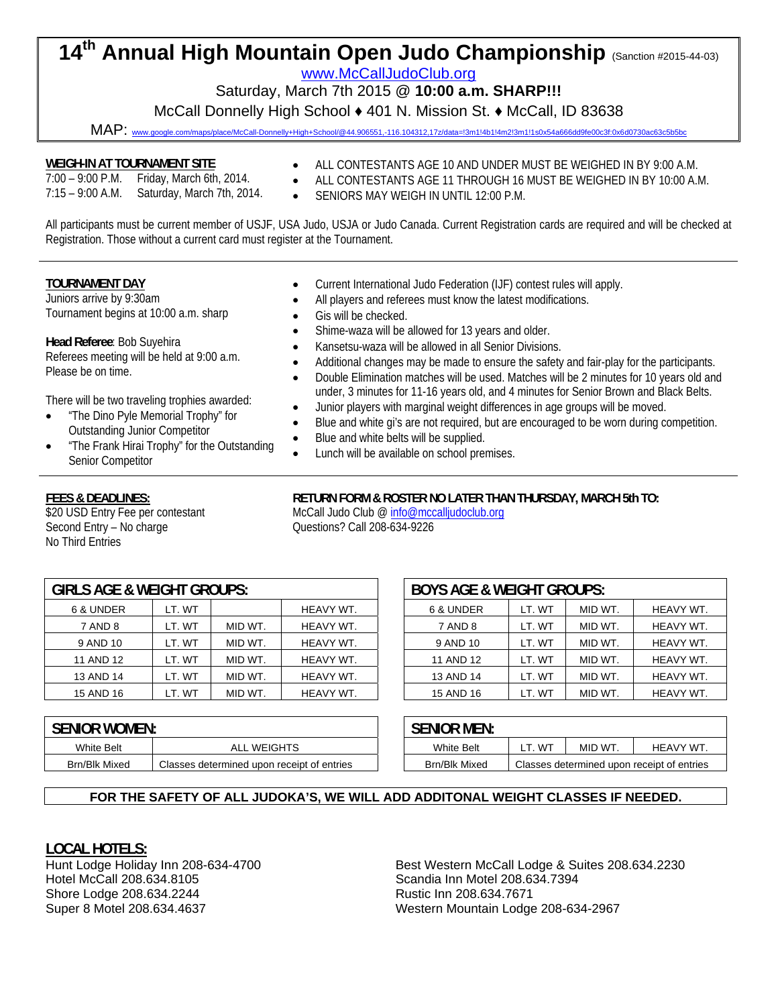# **14th Annual High Mountain Open Judo Championship** (Sanction #2015-44-03)

www.McCallJudoClub.org

Saturday, March 7th 2015 @ **10:00 a.m. SHARP!!!** McCall Donnelly High School ♦ 401 N. Mission St. ♦ McCall, ID 83638

MAP: www.google.com/maps/place/McCall-Donnelly+High+School/@44.906551,-116.104312,17z/data=!3m1!4b1!4m2!3m1!1s0x54a666dd9fe00c3f:0x6d0730ac63c5b5bc

#### **WEIGH-IN AT TOURNAMENT SITE**

- 7:00 9:00 P.M. Friday, March 6th, 2014. 7:15 – 9:00 A.M. Saturday, March 7th, 2014.
- ALL CONTESTANTS AGE 10 AND UNDER MUST BE WEIGHED IN BY 9:00 A.M.
- ALL CONTESTANTS AGE 11 THROUGH 16 MUST BE WEIGHED IN BY 10:00 A.M.
- SENIORS MAY WEIGH IN UNTIL 12:00 P.M.

All participants must be current member of USJF, USA Judo, USJA or Judo Canada. Current Registration cards are required and will be checked at Registration. Those without a current card must register at the Tournament.

#### **TOURNAMENT DAY**

Juniors arrive by 9:30am Tournament begins at 10:00 a.m. sharp

**Head Referee**: Bob Suyehira

Referees meeting will be held at 9:00 a.m. Please be on time.

There will be two traveling trophies awarded:

- "The Dino Pyle Memorial Trophy" for Outstanding Junior Competitor
- "The Frank Hirai Trophy" for the Outstanding Senior Competitor
- **FEES & DEADLINES:**

\$20 USD Entry Fee per contestant Second Entry – No charge No Third Entries

- Current International Judo Federation (IJF) contest rules will apply.
- All players and referees must know the latest modifications.
- Gis will be checked.
- Shime-waza will be allowed for 13 years and older.
- Kansetsu-waza will be allowed in all Senior Divisions.
- Additional changes may be made to ensure the safety and fair-play for the participants.
- Double Elimination matches will be used. Matches will be 2 minutes for 10 years old and under, 3 minutes for 11-16 years old, and 4 minutes for Senior Brown and Black Belts.
- Junior players with marginal weight differences in age groups will be moved.
- Blue and white gi's are not required, but are encouraged to be worn during competition.
- Blue and white belts will be supplied.
- Lunch will be available on school premises.

#### **RETURN FORM & ROSTER NO LATER THAN THURSDAY, MARCH 5th TO:**

McCall Judo Club @ info@mccalljudoclub.org Questions? Call 208-634-9226

| <b>GIRLS AGE &amp; WEIGHT GROUPS:</b> |        |         |           |  | <b>BOYS AGE &amp; WEIGHT GROUPS:</b> |        |       |
|---------------------------------------|--------|---------|-----------|--|--------------------------------------|--------|-------|
| 6 & UNDER                             | LT. WT |         | HEAVY WT. |  | 6 & UNDER                            | LT. WT | MID W |
| 7 AND 8                               | LT. WT | MID WT. | HEAVY WT. |  | 7 AND 8                              | LT. WT | MID W |
| 9 AND 10                              | LT. WT | MID WT. | HEAVY WT. |  | 9 AND 10                             | LT. WT | MID W |
| 11 AND 12                             | LT. WT | MID WT. | HEAVY WT. |  | 11 AND 12                            | LT. WT | MID W |
| 13 AND 14                             | LT. WT | MID WT. | HEAVY WT. |  | 13 AND 14                            | LT. WT | MID W |
| 15 AND 16                             | LT. WT | MID WT. | HEAVY WT. |  | 15 AND 16                            | LT. WT | MID W |
|                                       |        |         |           |  |                                      |        |       |

| LS AGE & WEIGHT GROUPS: |        |         |           | <b>BOYS AGE &amp; WEIGHT GROUPS:</b> |        |         |           |
|-------------------------|--------|---------|-----------|--------------------------------------|--------|---------|-----------|
| 6 & UNDER               | LT. WT |         | HEAVY WT. | 6 & UNDER                            | LT. WT | MID WT. | HEAVY WT. |
| 7 AND 8                 | LT. WT | MID WT. | HEAVY WT. | 7 AND 8                              | LT. WT | MID WT. | HEAVY WT. |
| 9 AND 10                | LT. WT | MID WT. | HEAVY WT. | 9 AND 10                             | LT. WT | MID WT. | HEAVY WT. |
| 11 AND 12               | LT. WT | MID WT. | HEAVY WT. | 11 AND 12                            | LT. WT | MID WT. | HEAVY WT. |
| 13 AND 14               | LT. WT | MID WT. | HEAVY WT. | 13 AND 14                            | LT. WT | MID WT. | HEAVY WT. |
| 15 AND 16               | LT. WT | MID WT. | HEAVY WT. | 15 AND 16                            | LT. WT | MID WT. | HEAVY WT. |
|                         |        |         |           |                                      |        |         |           |

| <b>SENIOR WOMEN:</b> |                                            | <b>SENIOR MEN:</b>   |                                            |         |           |
|----------------------|--------------------------------------------|----------------------|--------------------------------------------|---------|-----------|
| White Belt           | ALL WEIGHTS                                | <b>White Belt</b>    | . W <sup>T</sup>                           | MID WT. | HEAVY WT. |
| <b>Brn/Blk Mixed</b> | Classes determined upon receipt of entries | <b>Brn/Blk Mixed</b> | Classes determined upon receipt of entries |         |           |

| iior women:                                                |                  | <b>SENIOR MEN:</b>   |                  |        |                                            |
|------------------------------------------------------------|------------------|----------------------|------------------|--------|--------------------------------------------|
| White Belt                                                 | . WEIGHTS<br>ALL | <b>White Belt</b>    | . W <sup>T</sup> | MID WT | HEAVY WT.                                  |
| rn/Blk Mixed<br>Classes determined upon receipt of entries |                  | <b>Brn/Blk Mixed</b> |                  |        | Classes determined upon receipt of entries |

## **FOR THE SAFETY OF ALL JUDOKA'S, WE WILL ADD ADDITONAL WEIGHT CLASSES IF NEEDED.**

## **LOCAL HOTELS:**

Hunt Lodge Holiday Inn 208-634-4700 Hotel McCall 208.634.8105 Shore Lodge 208.634.2244 Super 8 Motel 208.634.4637

Best Western McCall Lodge & Suites 208.634.2230 Scandia Inn Motel 208.634.7394 Rustic Inn 208.634.7671 Western Mountain Lodge 208-634-2967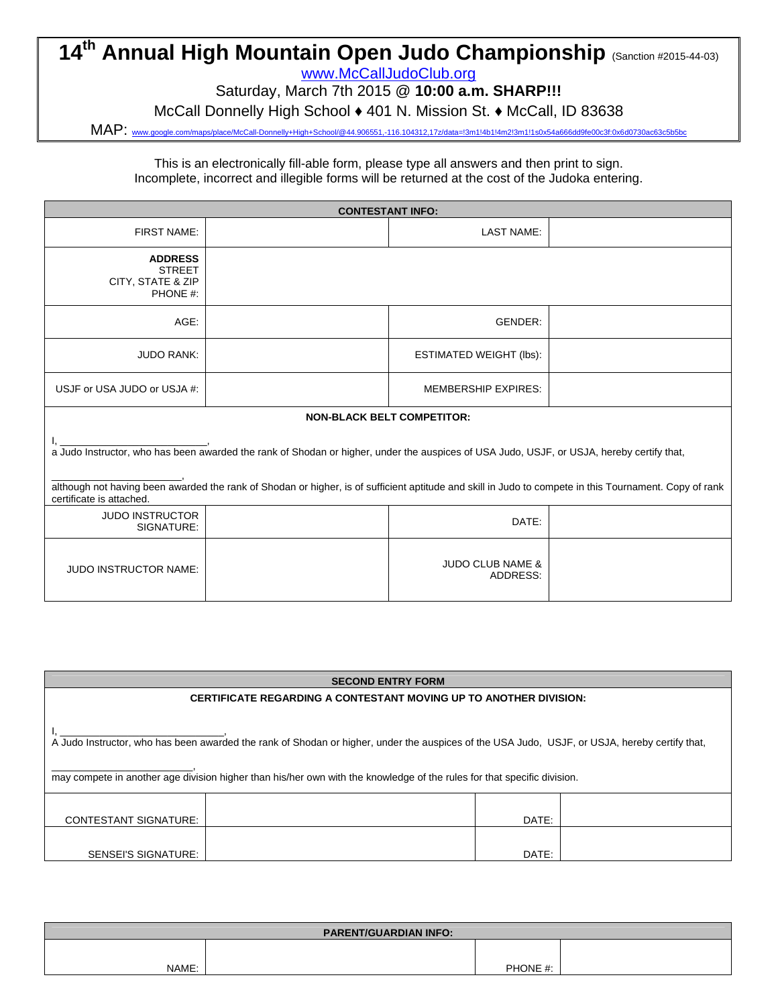# **14<sup>th</sup> Annual High Mountain Open Judo Championship (Sanction #2015-44-03)**

www.McCallJudoClub.org

Saturday, March 7th 2015 @ **10:00 a.m. SHARP!!!**

McCall Donnelly High School ♦ 401 N. Mission St. ♦ McCall, ID 83638

MAP: www.google.com/maps/place/McCall-Donnelly+High+School/@44.906551,-116.104312,17z/data=!3m1!4b1!4m2!3m1!1s0x54a666dd9fe00c3f:0x6d0730ac63c5b5bc

This is an electronically fill-able form, please type all answers and then print to sign. Incomplete, incorrect and illegible forms will be returned at the cost of the Judoka entering.

| <b>CONTESTANT INFO:</b>                                                                                                                                                                                                                                                                                                         |  |                                         |  |  |  |  |
|---------------------------------------------------------------------------------------------------------------------------------------------------------------------------------------------------------------------------------------------------------------------------------------------------------------------------------|--|-----------------------------------------|--|--|--|--|
| <b>FIRST NAME:</b>                                                                                                                                                                                                                                                                                                              |  | <b>LAST NAME:</b>                       |  |  |  |  |
| <b>ADDRESS</b><br><b>STREET</b><br>CITY, STATE & ZIP<br>PHONE #:                                                                                                                                                                                                                                                                |  |                                         |  |  |  |  |
| AGE:                                                                                                                                                                                                                                                                                                                            |  | GENDER:                                 |  |  |  |  |
| <b>JUDO RANK:</b>                                                                                                                                                                                                                                                                                                               |  | <b>ESTIMATED WEIGHT (lbs):</b>          |  |  |  |  |
| USJF or USA JUDO or USJA #:                                                                                                                                                                                                                                                                                                     |  | <b>MEMBERSHIP EXPIRES:</b>              |  |  |  |  |
|                                                                                                                                                                                                                                                                                                                                 |  | <b>NON-BLACK BELT COMPETITOR:</b>       |  |  |  |  |
| a Judo Instructor, who has been awarded the rank of Shodan or higher, under the auspices of USA Judo, USJF, or USJA, hereby certify that,<br>although not having been awarded the rank of Shodan or higher, is of sufficient aptitude and skill in Judo to compete in this Tournament. Copy of rank<br>certificate is attached. |  |                                         |  |  |  |  |
| <b>JUDO INSTRUCTOR</b><br>SIGNATURE:                                                                                                                                                                                                                                                                                            |  | DATE:                                   |  |  |  |  |
| <b>JUDO INSTRUCTOR NAME:</b>                                                                                                                                                                                                                                                                                                    |  | <b>JUDO CLUB NAME &amp;</b><br>ADDRESS: |  |  |  |  |

| <b>SECOND ENTRY FORM</b>                                                                                                                                                                                                                                                 |  |  |  |  |  |  |
|--------------------------------------------------------------------------------------------------------------------------------------------------------------------------------------------------------------------------------------------------------------------------|--|--|--|--|--|--|
| <b>CERTIFICATE REGARDING A CONTESTANT MOVING UP TO ANOTHER DIVISION:</b>                                                                                                                                                                                                 |  |  |  |  |  |  |
| A Judo Instructor, who has been awarded the rank of Shodan or higher, under the auspices of the USA Judo, USJF, or USJA, hereby certify that,<br>may compete in another age division higher than his/her own with the knowledge of the rules for that specific division. |  |  |  |  |  |  |
| DATE:<br><b>CONTESTANT SIGNATURE:</b>                                                                                                                                                                                                                                    |  |  |  |  |  |  |
| DATE:<br>SENSEI'S SIGNATURE:                                                                                                                                                                                                                                             |  |  |  |  |  |  |

| <b>PARENT/GUARDIAN INFO:</b> |  |          |  |  |  |
|------------------------------|--|----------|--|--|--|
|                              |  |          |  |  |  |
| NAME:                        |  | PHONE #: |  |  |  |